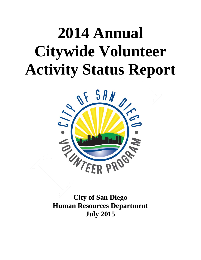# **2014 Annual Citywide Volunteer Activity Status Report**



**City of San Diego Human Resources Department July 2015**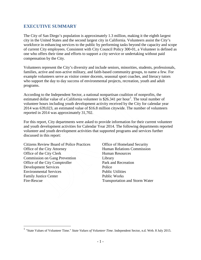## **EXECUTIVE SUMMARY**

The City of San Diego's population is approximately 1.3 million, making it the eighth largest city in the United States and the second largest city in California. Volunteers assist the City's workforce in enhancing services to the public by performing tasks beyond the capacity and scope of current City employees. Consistent with City Council Policy 300-01, a Volunteer is defined as one who offers their time and efforts to support a city service or undertaking without paid compensation by the City.

Volunteers represent the City's diversity and include seniors, minorities, students, professionals, families, active and non-active military, and faith-based community groups, to name a few. For example volunteers serve as visitor center docents, seasonal sport coaches, and literacy tutors who support the day to day success of environmental projects, recreation, youth and adult programs.

According to the Independent Sector, a national nonpartisan coalition of nonprofits, the estimated dollar value of a California volunteer is  $$26.341$  $$26.341$  per hour<sup>1</sup>. The total number of volunteer hours including youth development activity received by the City for calendar year 2014 was 639,023, an estimated value of \$16.8 million citywide. The number of volunteers reported in 2014 was approximately 31,702.

For this report, City departments were asked to provide information for their current volunteer and youth development activities for Calendar Year 2014. The following departments reported volunteer and youth development activities that supported programs and services further discussed in this report:

Citizens Review Board of Police Practices Office of Homeland Security Office of the City Attorney Human Relations Commission Office of the City Clerk Human Resources Commission on Gang Prevention Library Office of the City Comptroller Park and Recreation Development Services Police Environmental Services and Allen and Public Utilities Family Justice Center Public Works Fire-Rescue Transportation and Storm Water

<span id="page-1-0"></span> <sup>1</sup> "State Values of Volunteer Time." *State Values of Volunteer Time*. Independent Sector, n.d. Web. 8 July 2015.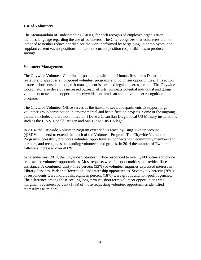#### **Use of Volunteers**

The Memorandum of Understanding (MOU) for each recognized employee organization includes language regarding the use of volunteers. The City recognizes that volunteers are not intended to neither reduce nor displace the work performed by bargaining unit employees, nor supplant current vacant positions, nor take on current position responsibilities to produce savings.

#### **Volunteer Management**

The Citywide Volunteer Coordinator positioned within the Human Resources Department reviews and approves all proposed volunteer programs and volunteer opportunities. This action ensures labor considerations, risk management issues, and legal concerns are met. The Citywide Coordinator also develops increased outreach efforts, connects potential individual and group volunteers to available opportunities citywide, and leads an annual volunteer recognition program.

The Citywide Volunteer Office serves as the liaison to several departments to support large volunteer group participation in environmental and beautification projects. Some of the ongoing partners include, and are not limited to: I Love a Clean San Diego, local US Military installations such as the U.S.S. Ronald Reagan and San Diego City College.

In 2014, the Citywide Volunteer Program extended its reach by using Twitter account (@SDVolunteers) to extend the reach of the Volunteer Program. The Citywide Volunteer Program successfully promotes volunteer opportunities, connects with community members and partners, and recognizes outstanding volunteers and groups. In 2014 the number of Twitter followers increased over 400%.

In calendar year 2014, the Citywide Volunteer Office responded to over 1,400 online and phone requests for volunteer opportunities. Most requests were for opportunities to provide office assistance. A combined, thirty-three percent (33%) of volunteer inquiries expressed interest in Library Services, Park and Recreation, and internship opportunities. Seventy-six percent (76%) of respondents were individuals; eighteen percent (18%) were groups and non-profit agencies. The difference among those seeking long term vs. short term volunteer opportunities was marginal. Seventeen percent (17%) of those requesting volunteer opportunities identified themselves as minors.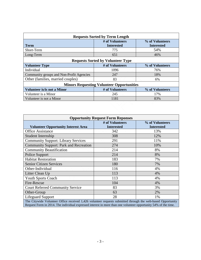| <b>Requests Sorted by Term Length</b>    |                                                  |                                      |  |
|------------------------------------------|--------------------------------------------------|--------------------------------------|--|
| <b>Term</b>                              | # of Volunteers<br><b>Interested</b>             | % of Volunteers<br><b>Interested</b> |  |
| Short-Term                               | 775                                              | 54%                                  |  |
| Long-Term                                | 651                                              | 46%                                  |  |
|                                          | <b>Requests Sorted by Volunteer Type</b>         |                                      |  |
| <b>Volunteer Type</b>                    | # of Volunteers                                  | % of Volunteers                      |  |
| Individual                               | 1096                                             | 76%                                  |  |
| Community groups and Non-Profit Agencies | 247                                              | 18%                                  |  |
| Other (families, married couples)        | 83                                               | 6%                                   |  |
|                                          | <b>Minors Requesting Volunteer Opportunities</b> |                                      |  |
| <b>Volunteer is/is not a Minor</b>       | # of Volunteers                                  | % of Volunteers                      |  |
| Volunteer is a Minor                     | 245                                              | 17%                                  |  |
| Volunteer is not a Minor                 | 1181                                             | 83%                                  |  |
|                                          |                                                  |                                      |  |

| <b>Opportunity Request Form Reponses</b>                                                                    |                                      |                                      |  |
|-------------------------------------------------------------------------------------------------------------|--------------------------------------|--------------------------------------|--|
| <b>Volunteer Opportunity Interest Area</b>                                                                  | # of Volunteers<br><b>Interested</b> | % of Volunteers<br><b>Interested</b> |  |
| <b>Office Assistance</b>                                                                                    | 342                                  | 13%                                  |  |
| Student Internship                                                                                          | 308                                  | 12%                                  |  |
| <b>Community Support: Library Services</b>                                                                  | 291                                  | 11%                                  |  |
| <b>Community Support: Park and Recreation</b>                                                               | 274                                  | 10%                                  |  |
| <b>Community Beautification</b>                                                                             | 214                                  | 8%                                   |  |
| Police Support                                                                                              | 214                                  | 8%                                   |  |
| <b>Habitat Restoration</b>                                                                                  | 183                                  | 7%                                   |  |
| <b>Senior Citizen Services</b>                                                                              | 180                                  | 7%                                   |  |
| Other-Individual                                                                                            | 116                                  | 4%                                   |  |
| Litter Clean Up                                                                                             | 113                                  | 4%                                   |  |
| <b>Youth Sports Coach</b>                                                                                   | 113                                  | 4%                                   |  |
| Fire-Rescue                                                                                                 | 104                                  | 4%                                   |  |
| <b>Court Referred Community Service</b>                                                                     | 83                                   | 3%                                   |  |
| Other-Group                                                                                                 | 63                                   | 2%                                   |  |
| <b>Lifeguard Support</b>                                                                                    | 28                                   | 1%                                   |  |
| The Citywide Volunteer Office received 1,426 volunteer requests submitted through the web-based Opportunity |                                      |                                      |  |

Request Form in 2014. The individual expressed interest in more than one volunteer opportunity 54% of the time.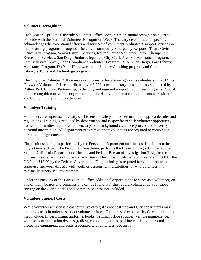## **Volunteer Recognition**

Each year in April, the Citywide Volunteer Office coordinates an annual recognition event to coincide with the National Volunteer Recognition Week. The City celebrates and specially acknowledges the exceptional efforts and services of volunteers. Volunteers support services in the following programs throughout the City: Community Emergency Response Team, Civic Dance Arts Program, Senior Citizen Services, Retired Senior Volunteer Patrol, Therapeutic Recreation Services, San Diego Junior Lifeguards, City Clerk Archival Assistance Program, Family Justice Center, Code Compliance Volunteer Program, READ/San Diego, Law Library Assistance Program, Do Your Homework at the Library Coaching program and Central Library's Tours and Technology programs.

The Citywide Volunteer Office makes additional efforts to recognize its volunteers. In 2014 the Citywide Volunteer Office distributed over 8,000 complimentary museum passes, donated by Balboa Park Cultural Partnership, to the City and regional nonprofit volunteer programs. Social media recognition of volunteer groups and individual volunteer accomplishments were shared and brought to the public's attention.

## **Volunteer Training**

Volunteers are supervised by City staff to ensure safety and adherence to all applicable rules and regulations. Training is provided by departments and is specific to each volunteer opportunity. Some opportunities require volunteers to pass a background clearance process and to verify personal information. All department program-support volunteers are required to complete a participation agreement.

Fingerprint scanning is performed by the Personnel Department and the cost is paid from the City's General Fund. The Personnel Department performs the fingerprinting submitted to the State of California Department of Justice and Federal Bureau of Investigation (FBI) for the criminal history records of potential volunteers. The current costs per volunteer are \$32.00 by the DOJ and \$17.00 by the Federal Government. Fingerprinting is required for volunteers who supervise and work directly with youth or persons with disabilities, or who volunteer in a minimally supervised environment.

Under the purview of the City Clerk's Office additional opportunities to serve as a volunteer, on one of many boards and commissions can be found. For this report, volunteer data for those serving on the City's boards and commissions was not included.

#### **Volunteer Support Costs**

While volunteer activity is a cost effective effort, it is not cost free and City departments may incur expenses in order to support volunteer efforts. Examples of expenses by City departments may include: fingerprinting, uniforms, books, training, office supplies, vehicle maintenance, wireless communication devices (radios), computer stations, parking validation, personal protective equipment, and costs associated with volunteer recognition.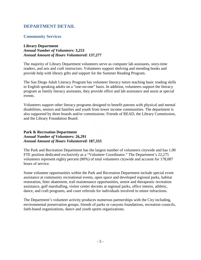# **DEPARTMENT DETAIL**

## **Community Services**

## **Library Department** *Annual Number of Volunteers:* **3,253** *Annual Amount of Hours Volunteered:* **137,277**

The majority of Library Department volunteers serve as computer lab assistants, story-time readers, and arts and craft instructors. Volunteers support shelving and mending books and provide help with library gifts and support for the Summer Reading Program.

The San Diego Adult Literacy Program has volunteer literacy tutors teaching basic reading skills to English speaking adults on a "one-on-one" basis. In addition, volunteers support the literacy program as family literacy assistants, they provide office and lab assistance and assist at special events.

Volunteers support other literacy programs designed to benefit patrons with physical and mental disabilities, seniors and families and youth from lower income communities. The department is also supported by three boards and/or commissions: Friends of READ, the Library Commission, and the Library Foundation Board.

## **Park & Recreation Department** *Annual Number of Volunteers:* **26,291** *Annual Amount of Hours Volunteered:* **187,333**

The Park and Recreation Department has the largest number of volunteers citywide and has 1.00 FTE position dedicated exclusively as a "Volunteer Coordinator." The Department's 22,275 volunteers represent eighty percent (80%) of total volunteers citywide and account for 178,087 hours of service.

Some volunteer opportunities within the Park and Recreation Department include special event assistance at community recreational events, open space and developed regional parks, habitat restoration, litter abatement, trail maintenance opportunities, senior and therapeutic recreation assistance, golf marshalling, visitor center docents at regional parks, office interns, athletic, dance, and craft programs, and court referrals for individuals involved in minor infractions.

The Department's volunteer activity produces numerous partnerships with the City including, environmental preservation groups, friends of parks or canyons foundations, recreation councils, faith-based organizations, dance and youth sports organizations.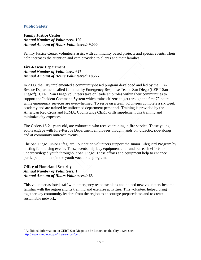## **Public Safety**

## **Family Justice Center** *Annual Number of Volunteers:* **100** *Annual Amount of Hours Volunteered:* **9,000**

Family Justice Center volunteers assist with community based projects and special events. Their help increases the attention and care provided to clients and their families.

## **Fire-Rescue Department** *Annual Number of Volunteers:* **627** *Annual Amount of Hours Volunteered:* **18,277**

In 2003, the City implemented a community-based program developed and led by the Fire-Rescue Department called Community Emergency Response Teams San Diego (CERT San Diego<sup>[2](#page-6-0)</sup>). CERT San Diego volunteers take on leadership roles within their communities to support the Incident Command System which trains citizens to get through the first 72 hours while emergency services are overwhelmed. To serve on a team volunteers complete a six week academy and are trained by uniformed department personnel. Training is provided by the American Red Cross and FEMA. Countywide CERT drills supplement this training and minimize city expenses.

Fire Cadets 16-21 years old, are volunteers who receive training in fire service. These young adults engage with Fire-Rescue Department employees though hands on, didactic, ride-alongs and at community outreach events.

The San Diego Junior Lifeguard Foundation volunteers support the Junior Lifeguard Program by hosting fundraising events. These events help buy equipment and fund outreach efforts to underprivileged youth throughout San Diego. These efforts and equipment help to enhance participation in this in the youth vocational program.

## **Office of Homeland Security** *Annual Number of Volunteers:* **1** *Annual Amount of Hours Volunteered:* **63**

This volunteer assisted staff with emergency response plans and helped new volunteers become familiar with the region and its training and exercise activities. This volunteer helped bring together key community leaders from the region to encourage preparedness and to create sustainable network.

<span id="page-6-0"></span> $2$  Additional information on CERT San Diego can be located on the City's web site: <http://www.sandiego.gov/fire/services/cert/>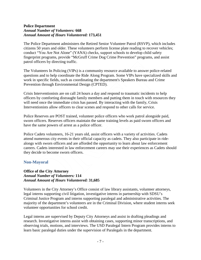## **Police Department** *Annual Number of Volunteers:* **668** *Annual Amount of Hours Volunteered:* **173,451**

The Police Department administers the Retired Senior Volunteer Patrol (RSVP), which includes citizens 50 years and older. These volunteers perform license plate reading to recover vehicles; conduct "You Are Not Alone" (YANA) checks, support schools to develop child safety fingerprint programs, provide "McGruff Crime Dog Crime Prevention" programs, and assist patrol officers by directing traffic.

The Volunteers In Policing (VIPs) is a community resource available to answer police-related questions and to help coordinate the Ride Along Program. Some VIPs have specialized skills and work in specific fields, such as coordinating the department's Speakers Bureau and Crime Prevention through Environmental Design (CPTED).

Crisis Interventionists are on call 24 hours a day and respond to traumatic incidents to help officers by comforting distraught family members and putting them in touch with resources they will need once the immediate crisis has passed. By interacting with the family, Crisis Interventionists allow officers to clear scenes and respond to other calls for service.

Police Reserves are POST trained, volunteer police officers who work patrol alongside paid, sworn officers. Reserves officers maintain the same training levels as paid sworn officers and have the same powers of arrest as a police officer.

Police Cadets volunteers, 16-21 years old, assist officers with a variety of activities. Cadets attend numerous city events in their official capacity as cadets. They also participate in ridealongs with sworn officers and are afforded the opportunity to learn about law enforcement careers. Cadets interested in law enforcement careers may use their experiences as Cadets should they decide to become sworn officers.

## **Non-Mayoral**

## **Office of the City Attorney** *Annual Number of Volunteers:* **114** *Annual Amount of Hours Volunteered:* **31,685**

Volunteers in the City Attorney's Office consist of law library assistants, volunteer attorneys, legal interns supporting civil litigation, investigative interns in partnership with SDSU's Criminal Justice Program and interns supporting paralegal and administrative activities. The majority of the department's volunteers are in the Criminal Division, where student interns seek volunteer opportunities for school credit.

Legal interns are supervised by Deputy City Attorneys and assist in drafting pleadings and research. Investigative interns assist with obtaining cases, supporting minor transcriptions, and observing trials, motions, and interviews. The USD Paralegal Intern Program provides interns to learn basic paralegal duties under the supervision of Paralegals in the department.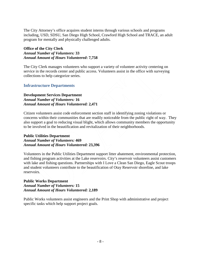The City Attorney's office acquires student interns through various schools and programs including, USD, SDSU, San Diego High School, Crawford High School and TRACE, an adult program for mentally and physically challenged adults.

## **Office of the City Clerk** *Annual Number of Volunteers:* **33** *Annual Amount of Hours Volunteered***: 7,758**

The City Clerk manages volunteers who support a variety of volunteer activity centering on service in the records center and public access. Volunteers assist in the office with surveying collections to help categorize series.

## **Infrastructure Departments**

## **Development Services Department** *Annual Number of Volunteers:* **16** *Annual Amount of Hours Volunteered:* **2,471**

Citizen volunteers assist code enforcement section staff in identifying zoning violations or concerns within their communities that are readily noticeable from the public right of way. They also support a goal to reducing visual blight, which allows community members the opportunity to be involved in the beautification and revitalization of their neighborhoods.

## **Public Utilities Department** *Annual Number of Volunteers:* **469** *Annual Amount of Hours Volunteered:* **23,396**

Volunteers in the Public Utilities Department support litter abatement, environmental protection, and fishing program activities at the Lake reservoirs. City's reservoir volunteers assist customers with lake and fishing questions. Partnerships with I Love a Clean San Diego, Eagle Scout troops and student volunteers contribute to the beautification of Otay Reservoir shoreline, and lake reservoirs.

## **Public Works Department** *Annual Number of Volunteers:* **15** *Annual Amount of Hours Volunteered:* **2,189**

Public Works volunteers assist engineers and the Print Shop with administrative and project specific tasks which help support project goals.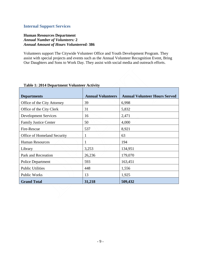## **Internal Support Services**

## **Human Resources Department** *Annual Number of Volunteers:* **2** *Annual Amount of Hours Volunteered:* **386**

Volunteers support The Citywide Volunteer Office and Youth Development Program. They assist with special projects and events such as the Annual Volunteer Recognition Event, Bring Our Daughters and Sons to Work Day. They assist with social media and outreach efforts.

| <b>Departments</b>           | <b>Annual Volunteers</b> | <b>Annual Volunteer Hours Served</b> |
|------------------------------|--------------------------|--------------------------------------|
| Office of the City Attorney  | 39                       | 6,998                                |
| Office of the City Clerk     | 31                       | 5,832                                |
| <b>Development Services</b>  | 16                       | 2,471                                |
| <b>Family Justice Center</b> | 50                       | 4,000                                |
| Fire-Rescue                  | 537                      | 8,921                                |
| Office of Homeland Security  |                          | 63                                   |
| <b>Human Resources</b>       |                          | 194                                  |
| Library                      | 3,253                    | 134,951                              |
| Park and Recreation          | 26,236                   | 179,070                              |
| <b>Police Department</b>     | 593                      | 163,451                              |
| <b>Public Utilities</b>      | 448                      | 1,556                                |
| Public Works                 | 13                       | 1,925                                |
| <b>Grand Total</b>           | 31,218                   | 509,432                              |

## **Table 1: 2014 Department Volunteer Activity**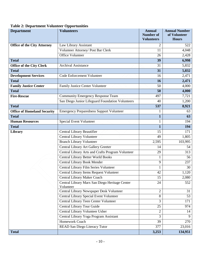# **Table 2: Department Volunteer Opportunities**

| <b>Department</b>                  | <b>Volunteers</b>                                           | <b>Annual</b><br><b>Number of</b><br><b>Volunteers</b> | <b>Annual Number</b><br>of Volunteer<br><b>Hours</b> |
|------------------------------------|-------------------------------------------------------------|--------------------------------------------------------|------------------------------------------------------|
| <b>Office of the City Attorney</b> | Law Library Assistant                                       | 2                                                      | 522                                                  |
|                                    | Volunteer Attorney/ Post Bar Clerk                          | 11                                                     | 4,048                                                |
|                                    | <b>Office Volunteer</b>                                     | 26                                                     | 2,428                                                |
| <b>Total</b>                       |                                                             | 39                                                     | 6,998                                                |
| <b>Office of the City Clerk</b>    | <b>Archival Assistance</b>                                  | 31                                                     | 5,832                                                |
| <b>Total</b>                       |                                                             | 31                                                     | 5,832                                                |
| <b>Development Services</b>        | Code Enforcement Volunteer                                  | 16                                                     | 2,471                                                |
| <b>Total</b>                       |                                                             | 16                                                     | 2,471                                                |
| <b>Family Justice Center</b>       | Family Justice Center Volunteer                             | 50                                                     | 4,000                                                |
| <b>Total</b>                       |                                                             | 50                                                     | 4,000                                                |
| <b>Fire-Rescue</b>                 | <b>Community Emergency Response Team</b>                    | 497                                                    | 7,721                                                |
|                                    | San Diego Junior Lifeguard Foundation Volunteers            | 40                                                     | 1,200                                                |
| <b>Total</b>                       |                                                             | 537                                                    | 8,921                                                |
| <b>Office of Homeland Security</b> | <b>Emergency Preparedness Support Volunteer</b>             | 1                                                      | 63                                                   |
| <b>Total</b>                       |                                                             | $\mathbf{1}$                                           | 63                                                   |
| <b>Human Resources</b>             | <b>Special Event Volunteer</b>                              | 1                                                      | 194                                                  |
| <b>Total</b>                       |                                                             | $\mathbf{1}$                                           | 194                                                  |
| Library                            | Central Library Beautifier                                  | 15                                                     | 171                                                  |
|                                    | Central Library Volunteer                                   | 49                                                     | 1,805                                                |
|                                    | <b>Branch Library Volunteer</b>                             | 2,595                                                  | 103,995                                              |
|                                    | Central Library Art Gallery Greeter                         | 14                                                     | 54                                                   |
|                                    | Central Library Arts and Crafts Program Volunteer           | 29                                                     | 313                                                  |
|                                    | <b>Central Library Better World Books</b>                   |                                                        | 56                                                   |
|                                    | <b>Central Library Book Mender</b>                          | 9                                                      | 237                                                  |
|                                    | Central Library Film Series Volunteer                       |                                                        | 30                                                   |
|                                    | Central Library Items Request Volunteer                     | 42                                                     | 1,120                                                |
|                                    | Central Library Maker Coach                                 | 15                                                     | 2,080                                                |
|                                    | Central Library Marx San Diego Heritage Center<br>Volunteer | 24                                                     | 552                                                  |
|                                    | Central Library Newspaper Desk Volunteer                    | $\overline{2}$                                         | 31                                                   |
|                                    | Central Library Special Event Volunteer                     | 8                                                      | 53                                                   |
|                                    | Central Library Teen Center Volunteer                       | 3                                                      | 171                                                  |
|                                    | Central Library Tour Guide                                  | 25                                                     | 974                                                  |
|                                    | Central Library Volunteer Usher                             | $\overline{2}$                                         | 14                                                   |
|                                    | Central Library Yoga Program Assistant                      | 3                                                      | 9                                                    |
|                                    | Homework Coach                                              | 39                                                     | 270                                                  |
|                                    | READ San Diego Literacy Tutor                               | 377                                                    | 23,016                                               |
| <b>Total</b>                       |                                                             | 3,253                                                  | 134,951                                              |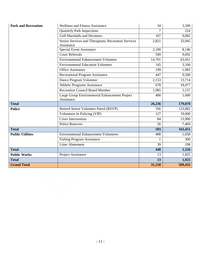| <b>Park and Recreation</b> | <b>Wellness and Fitness Assistance</b>                            | 34     | 3,599   |
|----------------------------|-------------------------------------------------------------------|--------|---------|
|                            | <b>Quarterly Park Inspections</b>                                 | 7      | 224     |
|                            | <b>Golf Marshalls and Divoteers</b>                               | 107    | 9,082   |
|                            | Senior Services and Therapeutic Recreation Services<br>Assistance | 2,821  | 33,945  |
|                            | <b>Special Event Assistance</b>                                   | 2,100  | 8,146   |
|                            | <b>Court Referrals</b>                                            | 549    | 9,092   |
|                            | <b>Environmental Enhancement Volunteer</b>                        | 14,701 | 63,451  |
|                            | <b>Environmental Education Volunteer</b>                          | 145    | 3,100   |
|                            | <b>Office Assistance</b>                                          | 109    | 1,983   |
|                            | <b>Recreational Program Assistance</b>                            | 447    | 9,500   |
|                            | Dance Program Volunteer                                           | 2,153  | 13,714  |
|                            | <b>Athletic Programs Assistance</b>                               | 678    | 18,477  |
|                            | <b>Recreation Council Board Member</b>                            | 1,985  | 3,157   |
|                            | Large Group Environmental Enhancement Project<br>Assistance       | 400    | 1,600   |
| <b>Total</b>               |                                                                   | 26,236 | 179,070 |
| <b>Police</b>              | Retired Senior Volunteer Patrol (RSVP)                            | 356    | 123,082 |
|                            | Volunteers In Policing (VIP)                                      | 127    | 19,000  |
|                            | Crisis Intervention                                               | 84     | 13,900  |
|                            | <b>Police Reserves</b>                                            | 26     | 7,469   |
| <b>Total</b>               |                                                                   | 593    | 163,451 |
| <b>Public Utilities</b>    | <b>Environmental Enhancement Volunteers</b>                       | 408    | 1,058   |
|                            | <b>Fishing Program Assistance</b>                                 | 1      | 300     |
|                            | <b>Litter Abatement</b>                                           | 39     | 198     |
| <b>Total</b>               |                                                                   | 448    | 1,556   |
| <b>Public Works</b>        | Project Assistance                                                | 13     | 1,925   |
| <b>Total</b>               |                                                                   | 13     | 1,925   |
| <b>Grand Total</b>         |                                                                   | 31,218 | 509,432 |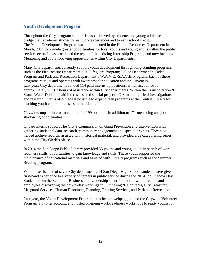# **Youth Development Program**

Throughout the City, program support is also achieved by students and young adults seeking to bridge their academic studies to real work experiences and to earn school credit. The Youth Development Program was implemented in the Human Resources Department in March, 2014 to provide greater opportunities for local youths and young adults within the public service sector. It has broadened the reach of the existing Internship Program, and now includes Mentoring and Job Shadowing opportunities within City Departments.

Many City departments currently support youth development through long-standing programs such as the Fire-Rescue Department's Jr. Lifeguard Program; Police Department's Cadet Program and Park and Recreation Department's W.A.V.E. /S.A.V.E. Program. Each of these programs recruits and operates with awareness for education and inclusiveness. Last year, City departments funded 114 paid internship positions, which accounted for approximately 75,763 hours of assistance within City departments. Within the Transportation & Storm Water Division paid interns assisted special projects, GIS mapping, field investigations and research. Interns also made it possible to expand teen programs at the Central Library by teaching youth computer classes in the Idea Lab.

Citywide, unpaid interns accounted for 199 positions in addition to 171 mentoring and job shadowing opportunities.

Unpaid interns support The City's Commission on Gang Prevention and Intervention with gathering statistical data, research, community engagement and special projects. They also helped archive records, assisted with historical material, and provided aide categorizing series within the City Clerk's office.

In 2014 the San Diego Public Library provided 55 youths and young adults in search of workreadiness skills, opportunities to gain knowledge and skills. These youth supported the maintenance of educational materials and assisted with Library programs such as the Summer Reading program.

With the assistance of seven City departments, 14 San Diego High School students were given a first-hand experience to a variety of careers in public service during the 2014 Job Shadow Day. Students from the School of Business and Leadership spent four hours with directors and employees discovering the day-to-day workings in Purchasing & Contracts, City Treasurer, Lifeguard Services, Human Resources, Planning, Printing Services, and Park and Recreation.

Last year, the Youth Development Program launched its webpage, joined the Citywide Volunteer Program's Twitter account, and hosted on-going work-readiness workshops to ready youths for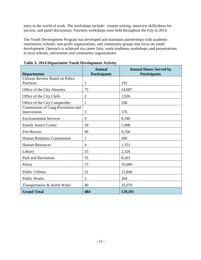entry to the world of work. The workshops include: resume writing, interview skills/dress for success, and panel discussions. Fourteen workshops were held throughout the City in 2014.

The Youth Development Program has developed and maintains partnerships with academic institutions, schools, non-profit organizations, and community groups that focus on youth development. Outreach is achieved via career fairs, work-readiness workshops, and presentations at local schools, universities and community organizations.

| <b>Departments</b>                                  | <b>Annual</b><br><b>Participants</b> | <b>Annual Hours Served by</b><br><b>Participants</b> |
|-----------------------------------------------------|--------------------------------------|------------------------------------------------------|
| <b>Citizens Review Board on Police</b><br>Practices | $\mathbf{1}$                         | 192                                                  |
| Office of the City Attorney                         | 75                                   | 24,687                                               |
| Office of the City Clerk                            | $\mathbf{2}$                         | 1,926                                                |
| Office of the City Comptroller                      | $\mathbf{1}$                         | 200                                                  |
| Commission of Gang Prevention and<br>Intervention   | 3                                    | 576                                                  |
| <b>Environmental Services</b>                       | 9                                    | 8,340                                                |
| <b>Family Justice Center</b>                        | 50                                   | 5,000                                                |
| Fire-Rescue                                         | 90                                   | 9,356                                                |
| Human Relations Commission                          | 1                                    | 200                                                  |
| <b>Human Resources</b>                              | $\overline{4}$                       | 1,351                                                |
| Library                                             | 55                                   | 2,326                                                |
| Park and Recreation                                 | 55                                   | 8,263                                                |
| Police                                              | 75                                   | 10,000                                               |
| <b>Public Utilities</b>                             | 21                                   | 21,840                                               |
| <b>Public Works</b>                                 | $\overline{2}$                       | 264                                                  |
| Transportation & Storm Water                        | 40                                   | 35,070                                               |
| <b>Grand Total</b>                                  | 484                                  | 129,591                                              |

**Table 3: 2014 Department Youth Development Activity**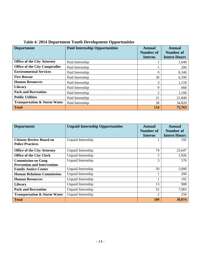| <b>Department</b>                       | <b>Paid Internship Opportunities</b> | Annual<br>Number of<br><b>Interns</b> | Annual<br><b>Number of</b><br><b>Intern Hours</b> |
|-----------------------------------------|--------------------------------------|---------------------------------------|---------------------------------------------------|
| <b>Office of the City Attorney</b>      | Paid Internship                      |                                       | 1,040                                             |
| <b>Office of the City Comptroller</b>   | Paid Internship                      |                                       | 200                                               |
| <b>Environmental Services</b>           | Paid Internship                      | 9                                     | 8,340                                             |
| <b>Fire-Rescue</b>                      | Paid Internship                      | 30                                    | 6,596                                             |
| <b>Human Resources</b>                  | Paid Internship                      | 3                                     | 1,159                                             |
| <b>Library</b>                          | Paid Internship                      | 9                                     | 668                                               |
| <b>Park and Recreation</b>              | Paid Internship                      | 2                                     | 1,100                                             |
| <b>Public Utilities</b>                 | Paid Internship                      | 21                                    | 21,840                                            |
| <b>Transportation &amp; Storm Water</b> | Paid Internship                      | 38                                    | 34,820                                            |
| <b>Total</b>                            |                                      | <b>114</b>                            | 75,763                                            |

# **Table 4: 2014 Department Youth Development Opportunities**

| <b>Department</b>                                          | <b>Unpaid Internship Opportunities</b> | <b>Annual</b>    | <b>Annual</b>       |
|------------------------------------------------------------|----------------------------------------|------------------|---------------------|
|                                                            |                                        | <b>Number of</b> | <b>Number of</b>    |
|                                                            |                                        | <b>Interns</b>   | <b>Intern Hours</b> |
| <b>Citizens Review Board on</b><br><b>Police Practices</b> | Unpaid Internship                      |                  | 192                 |
| <b>Office of the City Attorney</b>                         | Unpaid Internship                      | 74               | 23,647              |
| <b>Office of the City Clerk</b>                            | Unpaid Internship                      | $\overline{2}$   | 1,926               |
| <b>Commission on Gang</b>                                  | Unpaid Internship                      | 3                | 576                 |
| <b>Prevention and Intervention</b>                         |                                        |                  |                     |
| <b>Family Justice Center</b>                               | Unpaid Internship                      | 50               | 5,000               |
| <b>Human Relations Commission</b>                          | Unpaid Internship                      |                  | 200                 |
| <b>Human Resources</b>                                     | Unpaid Internship                      |                  | 192                 |
| Library                                                    | Unpaid Internship                      | 13               | 908                 |
| <b>Park and Recreation</b>                                 | Unpaid Internship                      | 52               | 7,083               |
| <b>Transportation &amp; Storm Water</b>                    | Unpaid Internship                      | $\overline{2}$   | 250                 |
| <b>Total</b>                                               |                                        | 199              | 39,974              |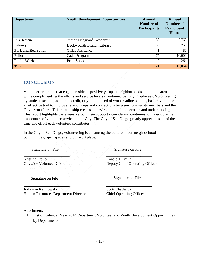| <b>Department</b>          | <b>Youth Development Opportunities</b> | <b>Annual</b><br>Number of<br><b>Participants</b> | <b>Annual</b><br>Number of<br>Participant<br><b>Hours</b> |
|----------------------------|----------------------------------------|---------------------------------------------------|-----------------------------------------------------------|
| <b>Fire-Rescue</b>         | Junior Lifeguard Academy               | 60                                                | 2,760                                                     |
| Library                    | <b>Beckwourth Branch Library</b>       | 33                                                | 750                                                       |
| <b>Park and Recreation</b> | <b>Office Assistance</b>               |                                                   | 80                                                        |
| <b>Police</b>              | Cadet Program                          | 75                                                | 10,000                                                    |
| <b>Public Works</b>        | Print Shop                             | 2                                                 | 264                                                       |
| <b>Total</b>               |                                        | 171                                               | 13,854                                                    |

# **CONCLUSION**

Volunteer programs that engage residents positively impact neighborhoods and public areas while complimenting the efforts and service levels maintained by City Employees. Volunteering, by students seeking academic credit, or youth in need of work readiness skills, has proven to be an effective tool to improve relationships and connections between community members and the City's workforce. This relationship creates an environment of cooperation and understanding. This report highlights the extensive volunteer support citywide and continues to underscore the importance of volunteer service in our City. The City of San Diego greatly appreciates all of the time and effort each volunteer contributes.

In the City of San Diego, volunteering is enhancing the culture of our neighborhoods, communities, open spaces and our workplace.

Signature on File  $\setminus$   $\setminus$   $\setminus$   $\setminus$  Signature on File

Kristina Fraijo Ronald H. Villa Citywide Volunteer Coordinator Deputy Chief Operating Officer

Signature on File Signature on File

Judy von Kalinowski Scott Chadwick Human Resources Department Director Chief Operating Officer

**\_\_\_\_\_\_\_\_\_\_\_\_\_\_\_\_\_\_\_\_ \_\_\_\_\_\_\_\_\_\_\_\_\_\_\_\_\_\_\_\_**

**\_\_\_\_\_\_\_\_\_\_\_\_\_\_\_\_\_\_\_\_ \_\_\_\_\_\_\_\_\_\_\_\_\_\_\_\_\_\_\_\_**

Attachment:

1. List of Calendar Year 2014 Department Volunteer and Youth Development Opportunities by Departments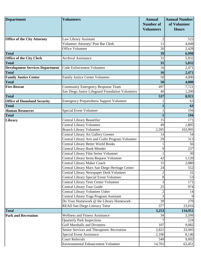| <b>Department</b>                      | <b>Volunteers</b>                                 | <b>Annual</b><br><b>Number of</b> | <b>Annual Number</b><br>of Volunteer |
|----------------------------------------|---------------------------------------------------|-----------------------------------|--------------------------------------|
|                                        |                                                   | <b>Volunteers</b>                 | <b>Hours</b>                         |
|                                        |                                                   |                                   |                                      |
| <b>Office of the City Attorney</b>     | Law Library Assistant                             | $\overline{2}$                    | 522                                  |
|                                        | Volunteer Attorney/ Post Bar Clerk                | 11                                | 4,048                                |
|                                        | <b>Office Volunteer</b>                           | 26                                | 2,428                                |
| <b>Total</b>                           |                                                   | 39                                | 6,998                                |
| <b>Office of the City Clerk</b>        | <b>Archival Assistance</b>                        | 31                                | 5,832                                |
| <b>Total</b>                           |                                                   | 31                                | 5,832                                |
| <b>Development Services Department</b> | Code Enforcement Volunteer                        | 16                                | 2,471                                |
| <b>Total</b>                           |                                                   | 16                                | 2,471                                |
| <b>Family Justice Center</b>           | Family Justice Center Volunteer                   | 50                                | 4,000                                |
| <b>Total</b>                           |                                                   | 50                                | 4,000                                |
| <b>Fire-Rescue</b>                     | <b>Community Emergency Response Team</b>          | 497                               | 7,721                                |
|                                        | San Diego Junior Lifeguard Foundation Volunteers  | 40                                | 1,200                                |
| <b>Total</b>                           |                                                   | 537                               | 8,921                                |
| <b>Office of Homeland Security</b>     | <b>Emergency Preparedness Support Volunteer</b>   |                                   | 63                                   |
| <b>Total</b>                           |                                                   |                                   | 63                                   |
| <b>Human Resources</b>                 | Special Event Volunteer                           |                                   | 194                                  |
| <b>Total</b>                           |                                                   |                                   | 194                                  |
| Library                                | Central Library Beautifier                        | 15                                | 171                                  |
|                                        | Central Library Volunteer                         | 49                                | 1,805                                |
|                                        | <b>Branch Library Volunteer</b>                   | 2,595                             | 103,995                              |
|                                        | Central Library Art Gallery Greeter               | 14                                | 54                                   |
|                                        | Central Library Arts and Crafts Program Volunteer | 29                                | 313                                  |
|                                        | <b>Central Library Better World Books</b>         | 1                                 | 56                                   |
|                                        | Central Library Book Mender                       | 9                                 | 237                                  |
|                                        | Central Library Film Series Volunteer             |                                   | 30                                   |
|                                        | Central Library Items Request Volunteer           | 42                                | 1,120                                |
|                                        | <b>Central Library Maker Coach</b>                | 15                                | 2,080                                |
|                                        | Central Library Marx San Diego Heritage Center    | 24                                | 552                                  |
|                                        | Central Library Newspaper Desk Volunteer          | $\overline{c}$                    | 31                                   |
|                                        | Central Library Special Event Volunteer           | 8                                 | 53                                   |
|                                        | Central Library Teen Center Volunteer             | 3                                 | 171                                  |
|                                        | Central Library Tour Guide                        | 25                                | 974                                  |
|                                        | Central Library Volunteer Usher                   | $\boldsymbol{2}$                  | 14                                   |
|                                        | Central Library Yoga Program Assistant            | 3                                 | 9                                    |
|                                        | Do Your Homework @ the Library Homework           | 39                                | 270                                  |
|                                        | READ San Diego Literacy Tutor                     | 377                               | 23,016                               |
| <b>Total</b>                           |                                                   | 3,253                             | 134,951                              |
| <b>Park and Recreation</b>             | <b>Wellness and Fitness Assistance</b>            | 34                                | 3,599                                |
|                                        | <b>Quarterly Park Inspections</b>                 | $\overline{7}$                    | 224                                  |
|                                        | <b>Golf Marshalls and Divoteers</b>               | 107                               | 9,082                                |
|                                        | Senior Services and Therapeutic Recreation        | 2,821                             | 33,945                               |
|                                        | <b>Special Event Assistance</b>                   | 2,100                             | 8,146                                |
|                                        | <b>Court Referrals</b>                            | 549                               | 9,092                                |
|                                        | <b>Environmental Enhancement Volunteer</b>        | 14,701                            | 63,451                               |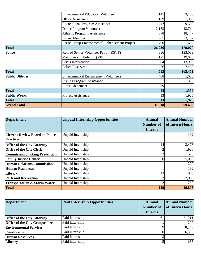|                         | <b>Environmental Education Volunteer</b>      | 145    | 3,100   |
|-------------------------|-----------------------------------------------|--------|---------|
|                         | <b>Office Assistance</b>                      | 109    | 1,983   |
|                         | <b>Recreational Program Assistance</b>        | 447    | 9,500   |
|                         | Dance Program Volunteer                       | 2,153  | 13,714  |
|                         | <b>Athletic Programs Assistance</b>           | 678    | 18,477  |
|                         | <b>Board Member</b>                           | 1,985  | 3,157   |
|                         | Large Group Environmental Enhancement Project | 400    | 1,600   |
| <b>Total</b>            |                                               | 26,236 | 179,070 |
| <b>Police</b>           | Retired Senior Volunteer Patrol (RSVP)        | 356    | 123,082 |
|                         | Volunteers In Policing (VIP)                  | 127    | 19,000  |
|                         | Crisis Intervention                           | 84     | 13,900  |
|                         | <b>Police Reserves</b>                        | 26     | 7,469   |
| <b>Total</b>            |                                               | 593    | 163,451 |
| <b>Public Utilities</b> | <b>Environmental Enhancement Volunteers</b>   | 408    | 1,058   |
|                         | <b>Fishing Program Assistance</b>             |        | 300     |
|                         | <b>Litter Abatement</b>                       | 39     | 198     |
| <b>Total</b>            |                                               | 448    | 1,556   |
| <b>Public Works</b>     | Project Assistance                            | 13     | 1,925   |
| <b>Total</b>            |                                               | 13     | 1,925   |
| <b>Grand Total</b>      |                                               | 31,218 | 509,432 |

| <b>Department</b>                       | <b>Unpaid Internship Opportunities</b> | <b>Annual</b><br><b>Number of</b><br><b>Interns</b> | <b>Annual Number</b><br>of Intern Hours |
|-----------------------------------------|----------------------------------------|-----------------------------------------------------|-----------------------------------------|
| <b>Citizens Review Board on Police</b>  | Unpaid Internship                      |                                                     | 192                                     |
| <b>Practices</b>                        |                                        |                                                     |                                         |
| <b>Office of the City Attorney</b>      | Unpaid Internship                      | 14                                                  | 3,476                                   |
| <b>Office of the City Clerk</b>         | Unpaid Internship                      |                                                     | 1,926                                   |
| <b>Commission on Gang Prevention</b>    | Unpaid Internship                      |                                                     | 576                                     |
| <b>Family Justice Center</b>            | Unpaid Internship                      | 50                                                  | 5,000                                   |
| <b>Human Relations Commission</b>       | Unpaid Internship                      |                                                     | 200                                     |
| <b>Human Resources</b>                  | Unpaid Internship                      |                                                     | 192                                     |
| Library                                 | Unpaid Internship                      | 13                                                  | 908                                     |
| <b>Park and Recreation</b>              | Unpaid Internship                      | 52                                                  | 7,083                                   |
| <b>Transportation &amp; Storm Water</b> | Unpaid Internship                      |                                                     | 250                                     |
| <b>Total</b>                            |                                        | 139                                                 | 19,803                                  |

| <b>Department</b>                     | <b>Paid Internship Opportunities</b> | <b>Annual</b><br><b>Number of</b><br><b>Interns</b> | <b>Annual Number</b><br>of Intern Hours |
|---------------------------------------|--------------------------------------|-----------------------------------------------------|-----------------------------------------|
| <b>Office of the City Attorney</b>    | Paid Internship                      | 61                                                  | 21,211                                  |
| <b>Office of the City Comptroller</b> | Paid Internship                      |                                                     | 200                                     |
| <b>Environmental Services</b>         | Paid Internship                      |                                                     | 8,340                                   |
| <b>Fire-Rescue</b>                    | Paid Internship                      | 30                                                  | 6,596                                   |
| <b>Human Resources</b>                | Paid Internship                      |                                                     | 1,159                                   |
| Library                               | Paid Internship                      |                                                     | 668                                     |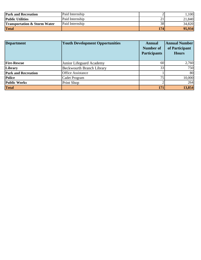| <b>Park and Recreation</b>              | Paid Internship |            | ,100   |
|-----------------------------------------|-----------------|------------|--------|
| <b>Public Utilities</b>                 | Paid Internship | $\angle 1$ | 21,840 |
| <b>Transportation &amp; Storm Water</b> | Paid Internship | 38         | 34,820 |
| <b>Total</b>                            |                 | 174        | 95,934 |

| <b>Department</b>          | <b>Youth Development Opportunities</b><br><b>Annual</b><br><b>Number of</b><br><b>Participants</b> |     | <b>Annual Number</b><br>of Participant<br><b>Hours</b> |
|----------------------------|----------------------------------------------------------------------------------------------------|-----|--------------------------------------------------------|
| <b>Fire-Rescue</b>         | Junior Lifeguard Academy                                                                           | 60  | 2,760                                                  |
| Library                    | <b>Beckwourth Branch Library</b>                                                                   | 33  | 750                                                    |
| <b>Park and Recreation</b> | Office Assistance                                                                                  |     | 80                                                     |
| <b>Police</b>              | Cadet Program                                                                                      | 75  | 10,000                                                 |
| <b>Public Works</b>        | Print Shop                                                                                         |     | 264                                                    |
| <b>Total</b>               |                                                                                                    | 171 | 13,854                                                 |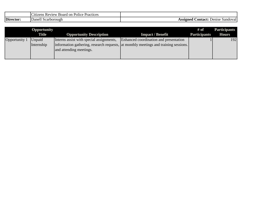|           | Board<br>Practices<br>. on<br>1t1zens<br>Police<br>Review |                                                           |
|-----------|-----------------------------------------------------------|-----------------------------------------------------------|
| Director: | Danell<br>Scarborough                                     | .\ontact:_<br>\SSIØN <del>e</del> d<br>Sandoval<br>Denise |

|               | <b>Opportunity</b> |                                          |                                                                                      | # of                | <b>Participants</b> |
|---------------|--------------------|------------------------------------------|--------------------------------------------------------------------------------------|---------------------|---------------------|
|               | <b>Title</b>       | <b>Opportunity Description</b>           | <b>Impact / Benefit</b>                                                              | <b>Participants</b> | <b>Hours</b>        |
| Opportunity 1 | Unpaid             | Interns assist with special assignments, | Enhanced coordination and presentation                                               |                     | 192                 |
|               | Internship         |                                          | information gathering, research requests, at monthly meetings and training sessions. |                     |                     |
|               |                    | and attending meetings.                  |                                                                                      |                     |                     |
|               |                    |                                          |                                                                                      |                     |                     |
|               |                    |                                          |                                                                                      |                     |                     |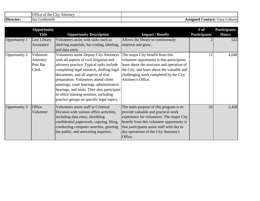|           | Office of the<br>Attorney<br>$\mathcal{L}1\mathcal{U}$ |                                        |
|-----------|--------------------------------------------------------|----------------------------------------|
| Director: | `Goldsmith<br><b>IJan</b>                              | Contact:<br>Assigned<br>Gina<br>Coburn |

|               | <b>Opportunity</b>                          |                                                                                                                                                                                                                                                                                                                                                                                                                                                       |                                                                                                                                                                                                                                                                            | # of                | <b>Participants</b> |
|---------------|---------------------------------------------|-------------------------------------------------------------------------------------------------------------------------------------------------------------------------------------------------------------------------------------------------------------------------------------------------------------------------------------------------------------------------------------------------------------------------------------------------------|----------------------------------------------------------------------------------------------------------------------------------------------------------------------------------------------------------------------------------------------------------------------------|---------------------|---------------------|
|               | <b>Title</b>                                | <b>Opportunity Description</b>                                                                                                                                                                                                                                                                                                                                                                                                                        | <b>Impact / Benefit</b>                                                                                                                                                                                                                                                    | <b>Participants</b> | <b>Hours</b>        |
| Opportunity 1 | Law Library<br>Assistance                   | Volunteers assist with tasks such as<br>shelving materials, bar-coding, labeling,<br>and data entry.                                                                                                                                                                                                                                                                                                                                                  | Allows the library to continuously<br>improve and grow.                                                                                                                                                                                                                    |                     | 522                 |
| Opportunity 2 | Volunteer<br>Attorney/<br>Post Bar<br>Clerk | <b>Volunteers assist Deputy City Attorneys</b><br>with all aspects of civil litigation and<br>advisory practice. Typical tasks include<br>completing legal research, drafting legal<br>documents, and all aspects of trial<br>preparation. Volunteers attend client<br>meetings, court hearings, administrative<br>hearings, and trials. They also participate<br>in office training sessions, including<br>practice groups on specific legal topics. | The major City benefit from this<br>volunteer opportunity is that participants<br>learn about the structure and operation of<br>the City, and learn about the valuable and<br>challenging work completed by the City<br>Attorney's Office.                                 | 11                  | 4,048               |
| Opportunity 3 | Office<br>Volunteer                         | Volunteers assist staff in Criminal<br>Division with various office activities,<br>including data entry, shredding<br>confidential paperwork, copying, filing,<br>conducting computer searches, greeting<br>the public, and answering inquiries.                                                                                                                                                                                                      | The main purpose of this program is to<br>provide valuable and practical work<br>experience for volunteers. The major City<br>benefit from this volunteer opportunity is<br>that participants assist staff with day to<br>day operations of the City Attorney's<br>Office. | 26                  | 2,428               |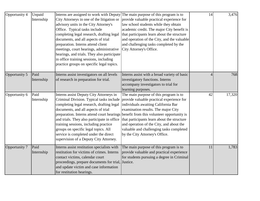| Opportunity 4        | Unpaid<br>Internship | Interns are assigned to work with Deputy<br>City Attorneys in one of the litigation or<br>advisory units in the City Attorney's<br>Office. Typical tasks include<br>completing legal research, drafting legal<br>documents, and all aspects of trial<br>preparation. Interns attend client<br>meetings, court hearings, administrative<br>hearings, and trials. They also participate<br>in office training sessions, including<br>practice groups on specific legal topics. | The main purpose of this program is to<br>provide valuable practical experience for<br>law school students while they obtain<br>academic credit. The major City benefit is<br>that participants learn about the structure<br>and operation of the City, and the valuable<br>and challenging tasks completed by the<br>City Attorney's Office.                                            | 14             | 3,476  |
|----------------------|----------------------|------------------------------------------------------------------------------------------------------------------------------------------------------------------------------------------------------------------------------------------------------------------------------------------------------------------------------------------------------------------------------------------------------------------------------------------------------------------------------|------------------------------------------------------------------------------------------------------------------------------------------------------------------------------------------------------------------------------------------------------------------------------------------------------------------------------------------------------------------------------------------|----------------|--------|
| Opportunity 5        | Paid<br>Internship   | Interns assist investigators on all levels<br>of research in preparation for trial.                                                                                                                                                                                                                                                                                                                                                                                          | Interns assist with a broad variety of basic<br>investigatory functions. Interns<br>accompany investigators to trial for<br>learning purposes.                                                                                                                                                                                                                                           | $\overline{4}$ | 768    |
| Opportunity 6        | Paid<br>Internship   | Interns assist Deputy City Attorneys in<br>Criminal Division. Typical tasks include<br>completing legal research, drafting legal<br>documents, and all aspects of trial<br>preparation. Interns attend court hearings<br>and trials. They also participate in office<br>training sessions, including practice<br>groups on specific legal topics. All<br>service is completed under the direct<br>supervision of a Deputy City Attorney.                                     | The main purpose of this program is to<br>provide valuable practical experience for<br>individuals awaiting California Bar<br>examination results. The major City<br>benefit from this volunteer opportunity is<br>that participants learn about the structure<br>and operation of the City, and about the<br>valuable and challenging tasks completed<br>by the City Attorney's Office. | 42             | 17,320 |
| <b>Opportunity 7</b> | Paid<br>Internship   | Interns assist restitution specialists with<br>restitution for victims of crimes. Interns<br>contact victims, calendar court<br>proceedings, prepare documents for trial, Justice.<br>and update victim and case information<br>for restitution hearings.                                                                                                                                                                                                                    | The main purpose of this program is to<br>provide valuable and practical experience<br>for students pursuing a degree in Criminal                                                                                                                                                                                                                                                        | 11             | 1,783  |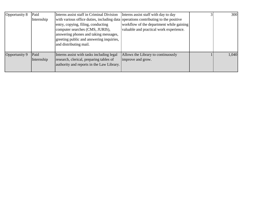| Opportunity 8 | Paid       | Interns assist staff in Criminal Division                                          | Interns assist staff with day to day     | 300   |
|---------------|------------|------------------------------------------------------------------------------------|------------------------------------------|-------|
|               | Internship | with various office duties, including data operations contributing to the positive |                                          |       |
|               |            | entry, copying, filing, conducting                                                 | workflow of the department while gaining |       |
|               |            | computer searches (CMS, JURIS),                                                    | valuable and practical work experience.  |       |
|               |            | answering phones and taking messages,                                              |                                          |       |
|               |            | greeting public and answering inquiries,                                           |                                          |       |
|               |            | and distributing mail.                                                             |                                          |       |
|               |            |                                                                                    |                                          |       |
| Opportunity 9 | Paid       | Interns assist with tasks including legal                                          | Allows the Library to continuously       | 1,040 |
|               | Internship | research, clerical, preparing tables of                                            | improve and grow.                        |       |
|               |            | authority and reports in the Law Library.                                          |                                          |       |
|               |            |                                                                                    |                                          |       |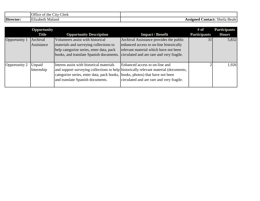|           | $\sim$<br>J.<br>Jitice of the<br>Clerk<br>$\sim$ 1tv $\sim$ |                                                                             |
|-----------|-------------------------------------------------------------|-----------------------------------------------------------------------------|
| Director: | <b>TIME</b><br>Maland<br>lizabeth<br>н                      | $\bullet$ $\bullet$<br>Assigned<br>Contact: Shella $\vdash$<br><b>Beale</b> |

|               | <b>Opportunity</b><br><b>Title</b> | <b>Opportunity Description</b>                                                                                                                                     | <b>Impact / Benefit</b>                                                                                                                                                  | # of<br><b>Participants</b> | <b>Participants</b><br><b>Hours</b> |
|---------------|------------------------------------|--------------------------------------------------------------------------------------------------------------------------------------------------------------------|--------------------------------------------------------------------------------------------------------------------------------------------------------------------------|-----------------------------|-------------------------------------|
| Opportunity 1 | Archival<br>Assistance             | Volunteers assist with historical<br>materials and surveying collections to<br>help categorize series, enter data, pack<br>books, and translate Spanish documents. | Archival Assistance provides the public<br>enhanced access to on-line historically<br>relevant material which have not been<br>circulated and are rare and very fragile. | 31                          | 5,832                               |
| Opportunity 2 | Unpaid<br>Internship               | Interns assist with historical materials<br>categorize series, enter data, pack books, books, photos) that have not been<br>and translate Spanish documents.       | Enhanced access to on-line and<br>and support surveying collections to help historically relevant material (documents,<br>circulated and are rare and very fragile.      |                             | 1,926                               |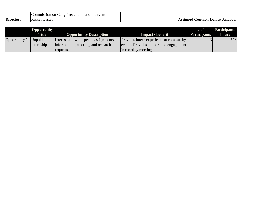|           | Prevention and<br>. ommission 4<br>Intervention<br>Gang<br>on |                                             |
|-----------|---------------------------------------------------------------|---------------------------------------------|
| Director: | .<br>∟aster<br>I K1CKev                                       | .`ontact:<br>Sandoval<br>Denise<br>.cc10na0 |

|               | Opportunity<br>Title | <b>Opportunity Description</b>         | <b>Impact / Benefit</b>                 | # of<br><b>Participants</b> | <b>Participants</b><br><b>Hours</b> |
|---------------|----------------------|----------------------------------------|-----------------------------------------|-----------------------------|-------------------------------------|
| Opportunity 1 | <i>Unpaid</i>        | Interns help with special assignments, | Provides Intern experience at community |                             | 576                                 |
|               | Internship           | information gathering, and research    | events. Provides support and engagement |                             |                                     |
|               |                      | requests.                              | in monthly meetings.                    |                             |                                     |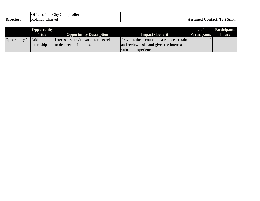|           | Office<br>∼<br>Comptroller<br>$\mathcal{L}1$ tv<br>the<br>' OI |                                                                            |
|-----------|----------------------------------------------------------------|----------------------------------------------------------------------------|
| Director: | . .<br>IKt<br>Charvel<br>plando                                | $\sim$<br><b>Contact:</b><br>Assigned<br>. Smith<br>l`∆rn<br>етрэт<br>1 VI |

|               | Opportunity  |                                           |                                            | # of                | <b>Participants</b> |
|---------------|--------------|-------------------------------------------|--------------------------------------------|---------------------|---------------------|
|               | <b>Title</b> | <b>Opportunity Description</b>            | <b>Impact / Benefit</b>                    | <b>Participants</b> | <b>Hours</b>        |
| Opportunity 1 | Paid         | Interns assist with various tasks related | Provides the accountants a chance to train |                     | 200                 |
|               | Internship   | to debt reconciliations.                  | and review tasks and gives the intern a    |                     |                     |
|               |              |                                           | valuable experience.                       |                     |                     |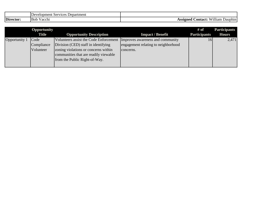|           | -<br>Development<br>. Department<br>Services |                                                             |
|-----------|----------------------------------------------|-------------------------------------------------------------|
| Director: | $\mathbf{r}$<br><b>Bob</b><br>Vacchi         | 77711<br>.`ontact:<br>William<br><b>Assigner</b><br>Dauphin |

|               | <b>Opportunity</b><br><b>Title</b> | <b>Opportunity Description</b>                                                                                                                                                                                                   | <b>Impact / Benefit</b>                          | # of<br><b>Participants</b> | <b>Participants</b><br><b>Hours</b> |
|---------------|------------------------------------|----------------------------------------------------------------------------------------------------------------------------------------------------------------------------------------------------------------------------------|--------------------------------------------------|-----------------------------|-------------------------------------|
| Opportunity 1 | Code<br>Compliance<br>Volunteer    | Volunteers assist the Code Enforcement Improves awareness and community<br>Division (CED) staff in identifying<br>zoning violations or concerns within<br>communities that are readily viewable<br>from the Public Right-of-Way. | engagement relating to neighborhood<br>concerns. | 16                          | 2,471                               |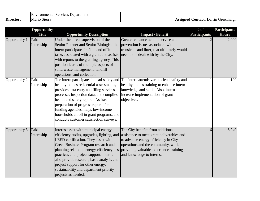|           | $\mathbf$ $\mathbf$<br>Department<br>Environmental<br>Services |                                              |
|-----------|----------------------------------------------------------------|----------------------------------------------|
| Director: | ∼<br>Mario<br>Sierra                                           | .ontact:<br>Greenhalgh<br>Assigned<br>Darrin |

|                      | Opportunity        |                                                                                                                                                                                                                                                                                                                                                                                                                                                      |                                                                                                                                                                                                                             | # of                | <b>Participants</b> |
|----------------------|--------------------|------------------------------------------------------------------------------------------------------------------------------------------------------------------------------------------------------------------------------------------------------------------------------------------------------------------------------------------------------------------------------------------------------------------------------------------------------|-----------------------------------------------------------------------------------------------------------------------------------------------------------------------------------------------------------------------------|---------------------|---------------------|
|                      | <b>Title</b>       | <b>Opportunity Description</b>                                                                                                                                                                                                                                                                                                                                                                                                                       | <b>Impact / Benefit</b>                                                                                                                                                                                                     | <b>Participants</b> | <b>Hours</b>        |
| Opportunity 1        | Paid<br>Internship | Under the direct supervision of the<br>Senior Planner and Senior Biologist, the<br>intern participates in field and office<br>tasks associated with a grant, and assists<br>with reports to the granting agency. This<br>position learns of multiple aspects of<br>solid waste management, landfill<br>operations, and collection.                                                                                                                   | Greater enhancement of service and<br>prevention issues associated with<br>transients and litter, that ultimately would<br>need to be dealt with by the City.                                                               |                     | 2,000               |
| Opportunity 2        | Paid<br>Internship | healthy homes residential assessments,<br>provides data entry and filing services,<br>processes inspection data, and compiles<br>health and safety reports. Assists in<br>preparation of progress reports for<br>funding agencies, helps low-income<br>households enroll in grant programs, and<br>conducts customer satisfaction surveys.                                                                                                           | The intern participates in lead-safety and The intern attends various lead-safety and<br>healthy homes training to enhance intern<br>knowledge and skills. Also, interns<br>increase implementation of grant<br>objectives. |                     | 100                 |
| <b>Opportunity 3</b> | Paid<br>Internship | Interns assist with municipal energy<br>efficiency audits, upgrades, lighting, and<br>LEED certification. They assist with<br>Green Business Program research and<br>planning related to energy efficiency best providing valuable experience, training<br>practices and project support. Interns<br>also provide research, basic analysis and<br>project support for other energy,<br>sustainability and department priority<br>projects as needed. | The City benefits from additional<br>assistance to meet grant deliverables and<br>to advance energy efficiency in City<br>operations and the community, while<br>and knowledge to interns.                                  | 6                   | 6,240               |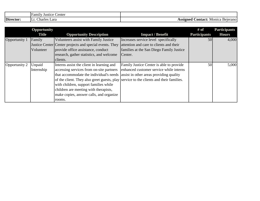|           | Center<br>Family<br>Justice |                                                                |
|-----------|-----------------------------|----------------------------------------------------------------|
| Director: | Charles<br>Lara<br>.        | <b>Contact:</b><br>Monica<br>\ssigned<br>. Bejeranol<br>TPPIX. |

|               | Opportunity<br><b>Title</b> | <b>Opportunity Description</b>                                                         | <b>Impact / Benefit</b>                  | # of<br><b>Participants</b> | <b>Participants</b><br><b>Hours</b> |
|---------------|-----------------------------|----------------------------------------------------------------------------------------|------------------------------------------|-----------------------------|-------------------------------------|
| Opportunity 1 | Family                      | Volunteers assist with Family Justice                                                  | Increases service level specifically     | 50                          | 4,000                               |
|               |                             | Justice Center Center projects and special events. They                                | attention and care to clients and their  |                             |                                     |
|               | Volunteer                   | provide office assistance, conduct                                                     | families at the San Diego Family Justice |                             |                                     |
|               |                             | research, gather statistics, and welcome                                               | Center.                                  |                             |                                     |
|               |                             | clients.                                                                               |                                          |                             |                                     |
| Opportunity 2 | Unpaid                      | Interns assist the client in learning and                                              | Family Justice Center is able to provide | 50                          | 5,000                               |
|               | Internship                  | accessing services from on-site partners                                               | enhanced customer service while interns  |                             |                                     |
|               |                             | that accommodate the individual's needs assist in other areas providing quality        |                                          |                             |                                     |
|               |                             | of the client. They also greet guests, play service to the clients and their families. |                                          |                             |                                     |
|               |                             | with children, support families while                                                  |                                          |                             |                                     |
|               |                             | children are meeting with therapists,                                                  |                                          |                             |                                     |
|               |                             | make copies, answer calls, and organize                                                |                                          |                             |                                     |
|               |                             | rooms.                                                                                 |                                          |                             |                                     |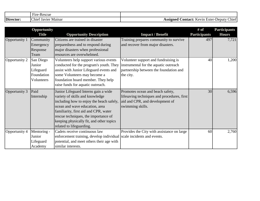|           | $\overline{\phantom{a}}$<br>Hire<br><b>L</b> acoua<br>-Rescue<br>- 11 U |                                                                 |
|-----------|-------------------------------------------------------------------------|-----------------------------------------------------------------|
| Director: | Chief<br>Mainar<br>Javier<br>J a                                        | .ss1øned<br>tontact:<br>eputy<br>Ester-1<br>evin<br>Chief<br>n. |

|               | Opportunity  |                                                                      |                                             | # of                | <b>Participants</b> |
|---------------|--------------|----------------------------------------------------------------------|---------------------------------------------|---------------------|---------------------|
|               | <b>Title</b> | <b>Opportunity Description</b>                                       | <b>Impact / Benefit</b>                     | <b>Participants</b> | <b>Hours</b>        |
| Opportunity 1 | Community    | Citizens are trained in disaster                                     | Training prepares community to survive      | 497                 | 7,721               |
|               | Emergency    | preparedness and to respond during                                   | and recover from major disasters.           |                     |                     |
|               | Response     | major disasters when professional                                    |                                             |                     |                     |
|               | Team         | resources are overwhelmed.                                           |                                             |                     |                     |
| Opportunity 2 | San Diego    | Volunteers help support various events                               | Volunteer support and fundraising is        | 40                  | 1,200               |
|               | Junior       | conducted for the program's youth. They                              | instrumental for the aquatic outreach       |                     |                     |
|               | Lifeguard    | assist with Junior Lifeguard events and                              | partnership between the foundation and      |                     |                     |
|               | Foundation   | some Volunteers may become a                                         | the city.                                   |                     |                     |
|               | Volunteers   | foundation board member. They help                                   |                                             |                     |                     |
|               |              | raise funds for aquatic outreach.                                    |                                             |                     |                     |
| Opportunity 3 | Paid         | Junior Lifeguard Interns gain a wide                                 | Promotes ocean and beach safety,            | 30                  | 6,596               |
|               | Internship   | variety of skills and knowledge                                      | lifesaving techniques and procedures, first |                     |                     |
|               |              | including how to enjoy the beach safely,                             | aid and CPR, and development of             |                     |                     |
|               |              | ocean and wave education, area                                       | swimming skills.                            |                     |                     |
|               |              | familiarity, first aid and CPR, water                                |                                             |                     |                     |
|               |              | rescue techniques, the importance of                                 |                                             |                     |                     |
|               |              | keeping physically fit, and other topics                             |                                             |                     |                     |
|               |              | related to lifeguarding.                                             |                                             |                     |                     |
| Opportunity 4 | Mentoring -  | Cadets receive continuous law                                        | Provides the City with assistance on large  | 60                  | 2,760               |
|               | Junior       | enforcement training, develop individual scale incidents and events. |                                             |                     |                     |
|               | Lifeguard    | potential, and meet others their age with                            |                                             |                     |                     |
|               | Academy      | similar interests.                                                   |                                             |                     |                     |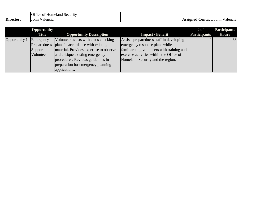|           | $\sim$ $\sim$ $\sim$<br>Homeland<br>. Security<br>Jttice.<br>∶ot |                                          |
|-----------|------------------------------------------------------------------|------------------------------------------|
| Director: | 1 John<br>alencia                                                | Dontact:<br>Assigned<br>John<br>'alencia |

|               | Opportunity<br><b>Title</b>       | <b>Opportunity Description</b>                                                                                                                                                                             | <b>Impact / Benefit</b>                                                                                                                                                                                   | # of<br><b>Participants</b> | <b>Participants</b><br><b>Hours</b> |
|---------------|-----------------------------------|------------------------------------------------------------------------------------------------------------------------------------------------------------------------------------------------------------|-----------------------------------------------------------------------------------------------------------------------------------------------------------------------------------------------------------|-----------------------------|-------------------------------------|
| Opportunity 1 | Emergency<br>Support<br>Volunteer | Volunteer assists with cross checking<br>Preparedness plans in accordance with existing<br>material. Provides expertise to observe<br>and critique existing emergency<br>procedures. Reviews guidelines in | Assists preparedness staff in developing<br>emergency response plans while<br>familiarizing volunteers with training and<br>exercise activities within the Office of<br>Homeland Security and the region. |                             | 63                                  |
|               |                                   | preparation for emergency planning<br>applications.                                                                                                                                                        |                                                                                                                                                                                                           |                             |                                     |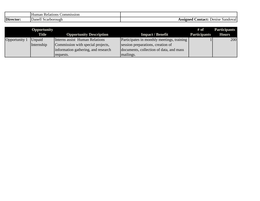|           | Relations<br>ommission/<br>Human |                                            |
|-----------|----------------------------------|--------------------------------------------|
| Director: | Danel.<br><b>Scarborough</b>     | Assigned<br>.ontact:<br>Denise<br>sandoval |

|               | <b>Opportunity</b> |                                     |                                            | # of                | <b>Participants</b> |
|---------------|--------------------|-------------------------------------|--------------------------------------------|---------------------|---------------------|
|               | <b>Title</b>       | <b>Opportunity Description</b>      | <b>Impact / Benefit</b>                    | <b>Participants</b> | <b>Hours</b>        |
| Opportunity 1 | Unpaid             | Interns assist Human Relations      | Participates in monthly meetings, training |                     | 200                 |
|               | Internship         | Commission with special projects,   | session preparations, creation of          |                     |                     |
|               |                    | information gathering, and research | documents, collection of data, and mass    |                     |                     |
|               |                    | requests.                           | mailings.                                  |                     |                     |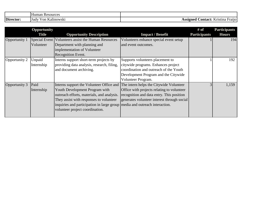|           | Human<br>Resources                  |                                                           |
|-----------|-------------------------------------|-----------------------------------------------------------|
| Director: | $- -$<br>Kalinowski<br>v on<br>Hudy | $- -$<br>.ss1øned<br>:ontact:<br>Kristina<br><b>Frano</b> |

|               | Opportunity<br><b>Title</b> | <b>Opportunity Description</b>                                                                                                                                                                                                                                                                                               | <b>Impact / Benefit</b>                                                                                                                                                         | # of<br><b>Participants</b> | <b>Participants</b><br><b>Hours</b> |
|---------------|-----------------------------|------------------------------------------------------------------------------------------------------------------------------------------------------------------------------------------------------------------------------------------------------------------------------------------------------------------------------|---------------------------------------------------------------------------------------------------------------------------------------------------------------------------------|-----------------------------|-------------------------------------|
| Opportunity 1 | Volunteer                   | Special Event   Volunteers assist the Human Resources<br>Department with planning and<br>implementation of Volunteer<br><b>Recognition Event.</b>                                                                                                                                                                            | Volunteers enhance special event setup<br>and event outcomes.                                                                                                                   |                             | 194                                 |
| Opportunity 2 | Unpaid<br>Internship        | Interns support short-term projects by<br>providing data analysis, research, filing,<br>and document archiving.                                                                                                                                                                                                              | Supports volunteers placement to<br>citywide programs. Enhances project<br>coordination and outreach of the Youth<br>Development Program and the Citywide<br>Volunteer Program. |                             | 192                                 |
| Opportunity 3 | Paid<br>Internship          | Interns support the Volunteer Office and The intern helps the Citywide Volunteer<br>Youth Development Program with<br>outreach efforts, materials, and analysis.<br>They assist with responses to volunteer<br>inquiries and participation in large group media and outreach interaction.<br>volunteer project coordination. | Office with projects relating to volunteer<br>recognition and data entry. This position<br>generates volunteer interest through social                                          |                             | 1,159                               |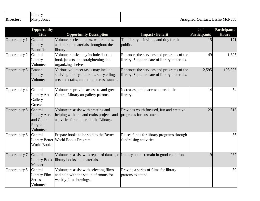|           | _1brarv               |                                                       |
|-----------|-----------------------|-------------------------------------------------------|
| Director: | Jones<br><b>Misty</b> | .`ontact:<br>\ssigned<br>McNabb /<br>Leslie<br>אוטטב. |

|               | Opportunity         |                                           |                                                                                  | # of                | <b>Participants</b> |
|---------------|---------------------|-------------------------------------------|----------------------------------------------------------------------------------|---------------------|---------------------|
|               | <b>Title</b>        | <b>Opportunity Description</b>            | <b>Impact / Benefit</b>                                                          | <b>Participants</b> | <b>Hours</b>        |
| Opportunity 1 | Central             | Volunteers clean books, water plants,     | The library is inviting and tidy for the                                         | 15                  | 171                 |
|               | Library             | and pick up materials throughout the      | public.                                                                          |                     |                     |
|               | Beautifier          | library.                                  |                                                                                  |                     |                     |
| Opportunity 2 | Central             | Volunteer tasks may include dusting       | Enhances the services and programs of the                                        | 49                  | 1,805               |
|               | Library             | book jackets, and straightening and       | library. Supports care of library materials.                                     |                     |                     |
|               | Volunteer           | organizing shelves.                       |                                                                                  |                     |                     |
| Opportunity 3 | <b>Branch</b>       | Various volunteer tasks may include       | Enhances the services and programs of the                                        | 2,595               | 103,995             |
|               | Library             | shelving library materials, storytelling, | library. Supports care of library materials.                                     |                     |                     |
|               | Volunteer           | arts and crafts, and computer assistance. |                                                                                  |                     |                     |
| Opportunity 4 | Central             | Volunteers provide access to and greet    | Increases public access to art in the                                            | 14                  | 54                  |
|               | Library Art         | Central Library art gallery patrons.      | library.                                                                         |                     |                     |
|               | Gallery             |                                           |                                                                                  |                     |                     |
|               | Greeter             |                                           |                                                                                  |                     |                     |
| Opportunity 5 | Central             | Volunteers assist with creating and       | Provides youth focused, fun and creative                                         | 29                  | 313                 |
|               | <b>Library Arts</b> | helping with arts and crafts projects and | programs for customers.                                                          |                     |                     |
|               | and Crafts          | activities for children in the Library.   |                                                                                  |                     |                     |
|               | Program             |                                           |                                                                                  |                     |                     |
|               | Volunteer           |                                           |                                                                                  |                     |                     |
| Opportunity 6 | Central             | Prepare books to be sold to the Better    | Raises funds for library programs through                                        | 1                   | 56                  |
|               |                     | Library Better World Books Program.       | fundraising activities.                                                          |                     |                     |
|               | <b>World Books</b>  |                                           |                                                                                  |                     |                     |
|               |                     |                                           |                                                                                  |                     |                     |
| Opportunity 7 | Central             |                                           | Volunteers assist with repair of damaged Library books remain in good condition. | 9                   | 237                 |
|               | <b>Library Book</b> | library books and materials.              |                                                                                  |                     |                     |
|               | Mender              |                                           |                                                                                  |                     |                     |
| Opportunity 8 | Central             | Volunteers assist with selecting films    | Provide a series of films for library                                            |                     | 30                  |
|               | Library Film        | and help with the set up of rooms for     | patrons to attend.                                                               |                     |                     |
|               | <b>Series</b>       | weekly film showings.                     |                                                                                  |                     |                     |
|               | Volunteer           |                                           |                                                                                  |                     |                     |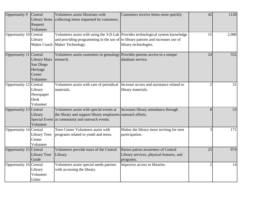| Opportunity 9          | Central<br><b>Library Items</b><br>Request<br>Volunteer      | Volunteers assist librarians with<br>collecting items requested by customers.                                                                              | Customers receive items more quickly.                                                                     | 42             | 1120  |
|------------------------|--------------------------------------------------------------|------------------------------------------------------------------------------------------------------------------------------------------------------------|-----------------------------------------------------------------------------------------------------------|----------------|-------|
| Opportunity 10 Central | Library                                                      | and providing programming in the use of to library patrons and increases use of<br>Maker Coach   Maker Technology.                                         | Volunteers assist with using the 3-D Lab Provides technological system knowledge<br>library technologies. | 15             | 2,080 |
| Opportunity 11 Central | Library Marx<br>San Diego<br>Heritage<br>Center<br>Volunteer | Volunteers assist customers in genealogy Provides patrons access to a unique<br>research.                                                                  | database service.                                                                                         | 24             | 552   |
| Opportunity 12 Central | Library<br>Newspaper<br>Desk<br>Volunteer                    | Volunteers assist with care of periodical Increase access and assistance related to<br>materials.                                                          | library materials.                                                                                        | $\overline{2}$ | 31    |
| Opportunity 13 Central | Library<br>Volunteer                                         | Volunteers assist with special events at<br>the library and support library employees outreach efforts.<br>Special Event at community and outreach events. | Increases library attendance through                                                                      | 8              | 53    |
| Opportunity 14 Central | Library Teen<br>Center<br>Volunteer                          | Teen Center Volunteers assist with<br>programs related to youth and teens.                                                                                 | Makes the library more inviting for teen<br>participation.                                                | $\overline{3}$ | 171   |
| Opportunity 15 Central | Library Tour<br>Guide                                        | Volunteers provide tours of the Central<br>Library.                                                                                                        | Raises patron awareness of Central<br>Library services, physical features, and<br>programs.               | 25             | 974   |
| Opportunity 16 Central | Library<br>Volunteer<br>Usher                                | Volunteers assist special needs patrons<br>with accessing the library.                                                                                     | Improves access to libraries.                                                                             | $\overline{2}$ | 14    |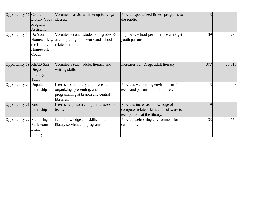| Opportunity 17 Central     |               | Volunteers assist with set up for yoga       | Provide specialized fitness programs to | $\overline{3}$ | 9      |
|----------------------------|---------------|----------------------------------------------|-----------------------------------------|----------------|--------|
|                            | Library Yoga  | classes.                                     | the public.                             |                |        |
|                            | Program       |                                              |                                         |                |        |
|                            | Assistant     |                                              |                                         |                |        |
| Opportunity 18 Do Your     |               | Volunteers coach students in grades K-8      | Improves school performance amongst     | 39             | 270    |
|                            |               | Homework @ at completing homework and school | youth patrons.                          |                |        |
|                            | the Library   | related material.                            |                                         |                |        |
|                            | Homework      |                                              |                                         |                |        |
|                            | Coach         |                                              |                                         |                |        |
|                            |               |                                              |                                         |                |        |
| Opportunity 19 READ San    |               | Volunteers teach adults literacy and         | Increases San Diego adult literacy.     | 377            | 23,016 |
|                            | Diego         | writing skills.                              |                                         |                |        |
|                            | Literacy      |                                              |                                         |                |        |
|                            | Tutor         |                                              |                                         |                |        |
| Opportunity 20 Unpaid      |               | Interns assist library employees with        | Provides welcoming environment for      | 13             | 908    |
|                            | Internship    | organizing, presenting, and                  | teens and patrons in the libraries.     |                |        |
|                            |               | programming at branch and central            |                                         |                |        |
|                            |               | libraries.                                   |                                         |                |        |
| Opportunity 21 Paid        |               | Interns help teach computer classes to       | Provides increased knowledge of         | 9              | 668    |
|                            | Internship    | teens.                                       | computer related skills and software to |                |        |
|                            |               |                                              | teen patrons at the library.            |                |        |
| Opportunity 22 Mentoring - |               | Gain knowledge and skills about the          | Provide welcoming environment for       | 33             | 750    |
|                            | Beckwourth    | library services and programs.               | customers.                              |                |        |
|                            | <b>Branch</b> |                                              |                                         |                |        |
|                            | Library       |                                              |                                         |                |        |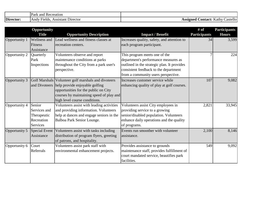|           | T.<br>Park<br>and<br>Recreation                     |                                                   |
|-----------|-----------------------------------------------------|---------------------------------------------------|
| Director: | Assistant<br>Director<br><b>Andy</b><br>$H$ -relds. | . Kathy '<br>Contact: '<br>Assigned ′<br>Castello |

|               | <b>Opportunity</b>  |                                                     |                                             | # of                | <b>Participants</b> |
|---------------|---------------------|-----------------------------------------------------|---------------------------------------------|---------------------|---------------------|
|               | <b>Title</b>        | <b>Opportunity Description</b>                      | <b>Impact / Benefit</b>                     | <b>Participants</b> | <b>Hours</b>        |
| Opportunity 1 | <b>Wellness</b> and | Lead wellness and fitness classes at                | Increases quality, safety, and attention to | 34                  | 3,599               |
|               | Fitness             | recreation centers.                                 | each program participant.                   |                     |                     |
|               | <b>Assistance</b>   |                                                     |                                             |                     |                     |
| Opportunity 2 | Quarterly           | Volunteers observe and report                       | This program meets one of the               |                     | 224                 |
|               | Park                | maintenance conditions at parks                     | department's performance measures as        |                     |                     |
|               | Inspections         | throughout the City from a park user's              | outlined in the strategic plan. It provides |                     |                     |
|               |                     | perspective.                                        | consistent feedback to the department       |                     |                     |
|               |                     |                                                     | from a community users perspective.         |                     |                     |
| Opportunity 3 |                     | Golf Marshals Volunteer golf marshals and divoteers | Increases customer service while            | 107                 | 9,082               |
|               |                     | and Divoteers help provide enjoyable golfing        | enhancing quality of play at golf courses.  |                     |                     |
|               |                     | opportunities for the public on City                |                                             |                     |                     |
|               |                     | courses by maintaining speed of play and            |                                             |                     |                     |
|               |                     | high level course conditions.                       |                                             |                     |                     |
| Opportunity 4 | Senior              | Volunteers assist with leading activities           | Volunteers assist City employees in         | 2,821               | 33,945              |
|               | Services and        | and providing information. Volunteers               | providing service to a growing              |                     |                     |
|               | Therapeutic         | help at dances and engage seniors in the            | senior/disabled population. Volunteers      |                     |                     |
|               | Recreation          | Balboa Park Senior Lounge.                          | enhance daily operations and the quality    |                     |                     |
|               | Services            |                                                     | of programs.                                |                     |                     |
| Opportunity 5 | Special Event       | Volunteers assist with tasks including              | Events run smoother with volunteer          | 2,100               | 8,146               |
|               | Assistance          | distribution of program flyers, greeting            | assistance.                                 |                     |                     |
|               |                     | of patrons, and hospitality.                        |                                             |                     |                     |
| Opportunity 6 | Court               | Volunteers assist park staff with                   | Provides assistance to grounds              | 549                 | 9,092               |
|               | Referrals           | environmental enhancement projects.                 | maintenance staff, provides fulfillment of  |                     |                     |
|               |                     |                                                     | court mandated service, beautifies park     |                     |                     |
|               |                     |                                                     | facilities.                                 |                     |                     |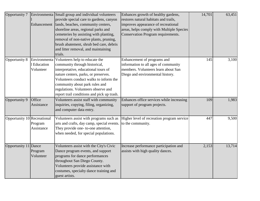| Opportunity 7               |                                          | Environmenta Small group and individual volunteers<br>provide special care to gardens, canyon<br>Enhancement   lands, beaches, community centers,<br>shoreline areas, regional parks and<br>cemeteries by assisting with planting,<br>removal of non-native plants, pruning,<br>brush abatement, shrub bed care, debris<br>and litter removal, and maintaining<br>trials. | Enhances growth of healthy gardens,<br>restores natural habitats and trails,<br>improves appearance of recreational<br>areas, helps comply with Multiple Species<br>Conservation Program requirements. | 14,701 | 63,451 |
|-----------------------------|------------------------------------------|---------------------------------------------------------------------------------------------------------------------------------------------------------------------------------------------------------------------------------------------------------------------------------------------------------------------------------------------------------------------------|--------------------------------------------------------------------------------------------------------------------------------------------------------------------------------------------------------|--------|--------|
| Opportunity 8               | Environmenta<br>1 Education<br>Volunteer | Volunteers help to educate the<br>community through historical,<br>interpretative, educational tours of<br>nature centers, parks, or preserves.<br>Volunteers conduct walks to inform the<br>community about park rules and<br>regulations. Volunteers observe and<br>report trail conditions and pick up trash.                                                          | Enhancement of programs and<br>information to all ages of community<br>members. Volunteers learn about San<br>Diego and environmental history.                                                         | 145    | 3,100  |
| Opportunity 9               | Office<br>Assistance                     | Volunteers assist staff with community<br>inquiries, copying, filing, organizing,<br>and computer data entry.                                                                                                                                                                                                                                                             | Enhances office services while increasing<br>support of program projects.                                                                                                                              | 109    | 1,983  |
| Opportunity 10 Recreational | Program<br>Assistance                    | Volunteers assist with programs such as<br>arts and crafts, day camp, special events.<br>They provide one-to-one attention,<br>when needed, for special populations.                                                                                                                                                                                                      | Higher level of recreation program service<br>to the community.                                                                                                                                        | 447    | 9,500  |
| Opportunity 11              | Dance<br>Program<br>Volunteer            | Volunteers assist with the City's Civic<br>Dance program events, and support<br>programs for dance performances<br>throughout San Diego County.<br>Volunteers provide assistance with<br>costumes, specialty dance training and<br>guest artists.                                                                                                                         | Increase performance participation and<br>assists with high quality dances.                                                                                                                            | 2,153  | 13,714 |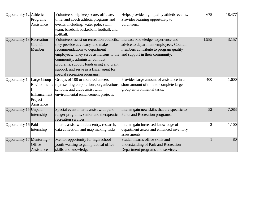| Opportunity 12 Athletic    |             | Volunteers help keep score, officiate,                 | Helps provide high quality athletic events.  | 678   | 18,477 |
|----------------------------|-------------|--------------------------------------------------------|----------------------------------------------|-------|--------|
|                            | Programs    | time, and coach athletic programs and                  | Provides learning opportunity to             |       |        |
|                            | Assistance  | events, including: water polo, swim                    | volunteers.                                  |       |        |
|                            |             | team, baseball, basketball, football, and              |                                              |       |        |
|                            |             | softball.                                              |                                              |       |        |
| Opportunity 13 Recreation  |             | Volunteers assist on recreation councils,              | Increase knowledge, experience and           | 1,985 | 3,157  |
|                            | Council     | they provide advocacy, and make                        | advice to department employees. Council      |       |        |
|                            | Member      | recommendations to department                          | members contribute to program quality        |       |        |
|                            |             | employees. They serve as liaisons to the               | and support in their community.              |       |        |
|                            |             | community, administer contract                         |                                              |       |        |
|                            |             | programs, support fundraising and grant                |                                              |       |        |
|                            |             | support, and serve as a fiscal agent for               |                                              |       |        |
|                            |             | special recreation programs.                           |                                              |       |        |
| Opportunity 14 Large Group |             | Groups of 100 or more volunteers                       | Provides large amount of assistance in a     | 400   | 1,600  |
|                            |             | Environmenta representing corporations, organizations, | short amount of time to complete large       |       |        |
|                            |             | schools, and clubs assist with                         | group environmental tasks.                   |       |        |
|                            | Enhancement | environmental enhancement projects.                    |                                              |       |        |
|                            | Project     |                                                        |                                              |       |        |
|                            | Assistance  |                                                        |                                              |       |        |
| Opportunity 15 Unpaid      |             | Special event interns assist with park                 | Interns gain new skills that are specific to | 52    | 7,083  |
|                            | Internship  | ranger programs, senior and therapeutic                | Parks and Recreation programs.               |       |        |
|                            |             | recreation services.                                   |                                              |       |        |
| Opportunity 16 Paid        |             | Interns assist with data entry, research,              | Interns gain increased knowledge of          |       | 1,100  |
|                            | Internship  | data collection, and map making tasks.                 | department assets and enhanced inventory     |       |        |
|                            |             |                                                        | assessments.                                 |       |        |
| Opportunity 17 Mentoring - |             | Mentor opportunity for high school                     | Student learns office skills and             |       | 80     |
|                            | Office      | youth wanting to gain practical office                 | understanding of Park and Recreation         |       |        |
|                            | Assistance  | skills and knowledge.                                  | Department programs and services.            |       |        |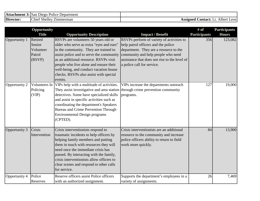| <b>Attachment 3: San Diego I</b> | Police<br><b>Department</b>                 |                                                      |
|----------------------------------|---------------------------------------------|------------------------------------------------------|
| Director:                        | Chief.<br><sup>*</sup> Shelley<br>Zimmerman | Albert<br><b>Contact:</b><br>Assigned<br>Leos<br>LJ. |

|               | Opportunity<br><b>Title</b>                        | <b>Opportunity Description</b>                                                                                                                                                                                                                                                                                                                           | <b>Impact / Benefit</b>                                                                                                                                                                                                                         | # of<br><b>Participants</b> | <b>Participants</b><br><b>Hours</b> |
|---------------|----------------------------------------------------|----------------------------------------------------------------------------------------------------------------------------------------------------------------------------------------------------------------------------------------------------------------------------------------------------------------------------------------------------------|-------------------------------------------------------------------------------------------------------------------------------------------------------------------------------------------------------------------------------------------------|-----------------------------|-------------------------------------|
| Opportunity 1 | Retired<br>Senior<br>Volunteer<br>Patrol<br>(RSVP) | RSVPs are volunteers 50 years old or<br>older who serve as extra "eyes and ears"<br>in the community. They are trained to<br>assist police and to serve the community<br>as an additional resource. RSVPs visit<br>people who live alone and ensure their<br>well-being, and conduct vacation house<br>checks. RSVPs also assist with special<br>events. | RSVPs perform of variety of activities to<br>help patrol officers and the police<br>department. They are a resource to the<br>community and help people who need<br>assistance that does not rise to the level of<br>a police call for service. | 356                         | 123,082                             |
| Opportunity 2 | Volunteers In<br>Policing<br>(VIP)                 | VIPs help with a multitude of activities.<br>They assist investigative and area station<br>detectives. Some have specialized skills<br>and assist in specific activities such as<br>coordinating the department's Speakers<br><b>Bureau and Crime Prevention Through</b><br><b>Environmental Design programs</b><br>(CPTED).                             | VIPs increase the departments outreach<br>through crime prevention community<br>programs.                                                                                                                                                       | 127                         | 19,000                              |
| Opportunity 3 | Crisis<br>Intervention                             | Crisis interventionists respond to<br>traumatic incidents to help officers by<br>helping family members and putting<br>them in touch with resources they will<br>need once the immediate crisis has<br>passed. By interacting with the family,<br>crisis interventionists allow officers to<br>clear scenes and respond to other calls<br>for service.   | Crisis interventionists are an additional<br>resource to the community and increase<br>police officers ability to return to field<br>work more quickly.                                                                                         | 84                          | 13,900                              |
| Opportunity 4 | Police<br>Reserves                                 | Reserve officers assist Police officers<br>with an authorized assignment.                                                                                                                                                                                                                                                                                | Supports the department's employees in a<br>variety of assignments.                                                                                                                                                                             | 26                          | 7,469                               |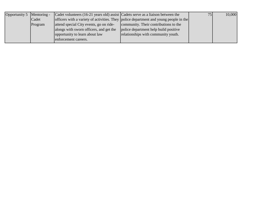| Opportunity 5 Mentoring - |         | Cadet volunteers $(16-21)$ years old) assist Cadets serve as a liaison between the |                                                                                       | 75 | 10,000 |
|---------------------------|---------|------------------------------------------------------------------------------------|---------------------------------------------------------------------------------------|----|--------|
|                           | Cadet   |                                                                                    | officers with a variety of activities. They police department and young people in the |    |        |
|                           | Program | attend special City events, go on ride-                                            | community. Their contributions to the                                                 |    |        |
|                           |         | alongs with sworn officers, and get the                                            | police department help build positive                                                 |    |        |
|                           |         | opportunity to learn about law                                                     | relationships with community youth.                                                   |    |        |
|                           |         | enforcement careers.                                                               |                                                                                       |    |        |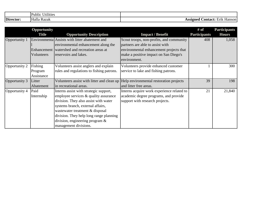|           | $\cdots$<br>. .<br>Public<br>Jtilities |                                                             |
|-----------|----------------------------------------|-------------------------------------------------------------|
| Director: | Razak<br>Halla                         | $\sim$ $\sim$<br>:ontact:<br>00100<br>١Q٢<br>Erik<br>Hanson |

|               | Opportunity  |                                                                                    |                                            | # of                | <b>Participants</b> |
|---------------|--------------|------------------------------------------------------------------------------------|--------------------------------------------|---------------------|---------------------|
|               | <b>Title</b> | <b>Opportunity Description</b>                                                     | <b>Impact / Benefit</b>                    | <b>Participants</b> | <b>Hours</b>        |
| Opportunity 1 |              | Environmenta Assists with litter abatement and                                     | Scout troops, non-profits, and community   | 408                 | 1,058               |
|               |              | environmental enhancement along the                                                | partners are able to assist with           |                     |                     |
|               |              | Enhancement watershed and recreation areas at                                      | environmental enhancement projects that    |                     |                     |
|               | Volunteers   | reservoirs and lakes.                                                              | make a positive impact on San Diego's      |                     |                     |
|               |              |                                                                                    | environment.                               |                     |                     |
| Opportunity 2 | Fishing      | Volunteers assist anglers and explain                                              | Volunteers provide enhanced customer       |                     | 300                 |
|               | Program      | rules and regulations to fishing patrons.                                          | service to lake and fishing patrons.       |                     |                     |
|               | Assistance   |                                                                                    |                                            |                     |                     |
| Opportunity 3 | Litter       | Volunteers assist with litter and clean up Help environmental restoration projects |                                            | 39                  | 198                 |
|               | Abatement    | in recreational areas.                                                             | and litter free areas.                     |                     |                     |
| Opportunity 4 | Paid         | Interns assist with strategic support,                                             | Interns acquire work experience related to | 21                  | 21,840              |
|               | Internship   | employee services & quality assurance                                              | academic degree programs, and provide      |                     |                     |
|               |              | division. They also assist with water                                              | support with research projects.            |                     |                     |
|               |              | systems branch, external affairs,                                                  |                                            |                     |                     |
|               |              | wastewater treatment & disposal                                                    |                                            |                     |                     |
|               |              | division. They help long range planning                                            |                                            |                     |                     |
|               |              | division, engineering program $\&$                                                 |                                            |                     |                     |
|               |              | management divisions.                                                              |                                            |                     |                     |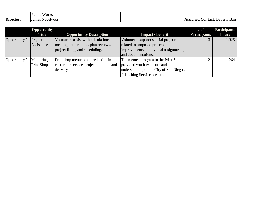|           | $\mathbf{v}$<br>r<br>Public<br><b>W</b> Orks |                                          |
|-----------|----------------------------------------------|------------------------------------------|
| Director: | Nagelvoort<br>James                          | .`ontact:<br>ASSIgnec<br>Beverly<br>Barr |

|               | <b>Opportunity</b><br><b>Title</b> | <b>Opportunity Description</b>          | <b>Impact / Benefit</b>                  | # of<br><b>Participants</b> | <b>Participants</b><br><b>Hours</b> |
|---------------|------------------------------------|-----------------------------------------|------------------------------------------|-----------------------------|-------------------------------------|
| Opportunity 1 | Project                            | Volunteers assist with calculations,    | Volunteers support special projects      | 13                          | 1,925                               |
|               | Assistance                         | meeting preparations, plan reviews,     | related to proposed process              |                             |                                     |
|               |                                    | project filing, and scheduling.         | improvements, non typical assignments,   |                             |                                     |
|               |                                    |                                         | and documentations.                      |                             |                                     |
| Opportunity 2 | Mentoring -                        | Print shop mentees aquired skills in    | The mentee program in the Print Shop     |                             | 264                                 |
|               | <b>Print Shop</b>                  | custormer service, project planning and | provided youth exposure and              |                             |                                     |
|               |                                    | delivery.                               | understanding of the City of San Diego's |                             |                                     |
|               |                                    |                                         | Publishing Services center.              |                             |                                     |